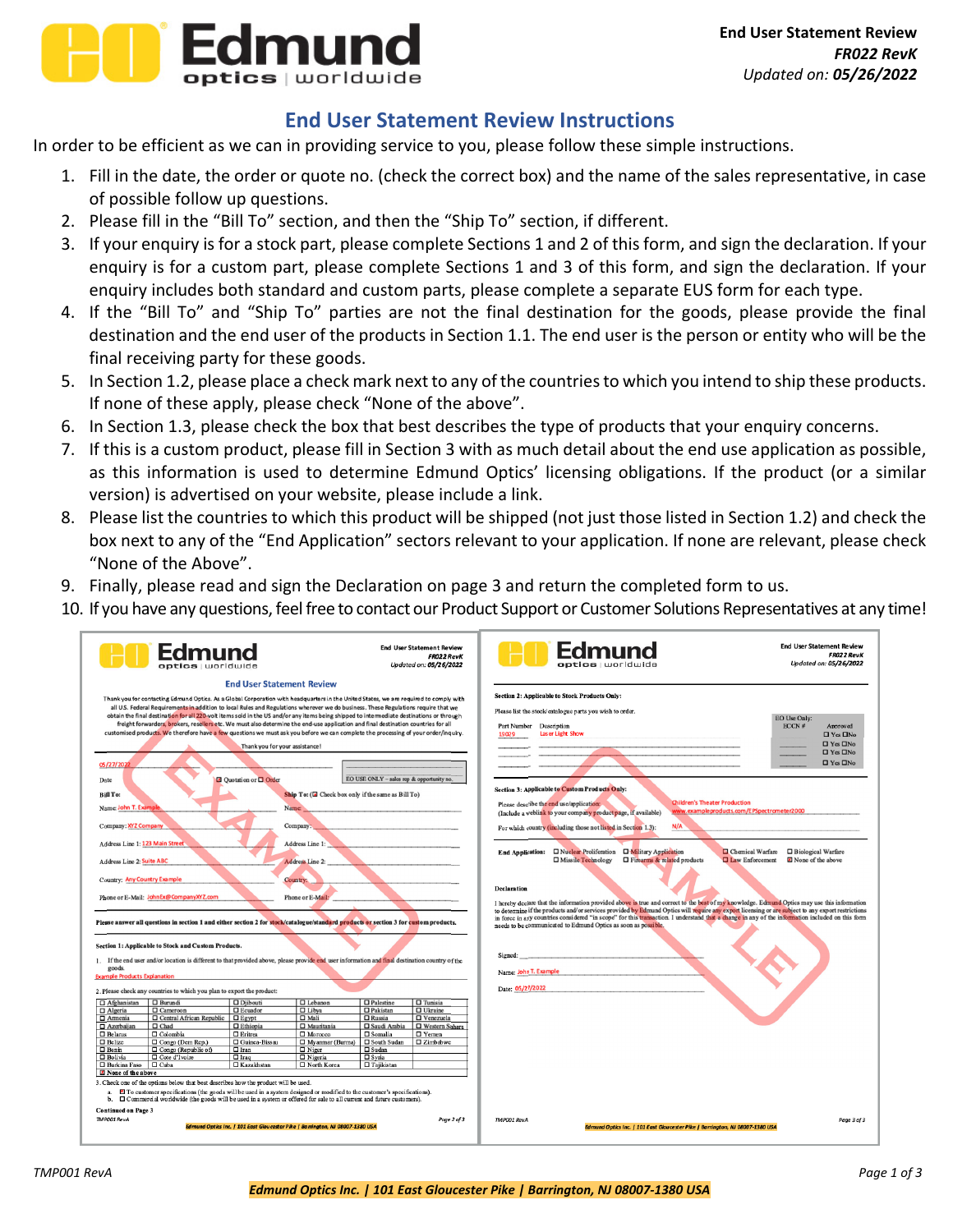

## **End User Statement Review Instructions**

In order to be efficient as we can in providing service to you, please follow these simple instructions.

- 1. Fill in the date, the order or quote no. (check the correct box) and the name of the sales representative, in case of possible follow up questions.
- 2. Please fill in the "Bill To" section, and then the "Ship To" section, if different.
- 3. If your enquiry is for a stock part, please complete Sections 1 and 2 of this form, and sign the declaration. If your enquiry is for a custom part, please complete Sections 1 and 3 of this form, and sign the declaration. If your enquiry includes both standard and custom parts, please complete a separate EUS form for each type.
- 4. If the "Bill To" and "Ship To" parties are not the final destination for the goods, please provide the final destination and the end user of the products in Section 1.1. The end user is the person or entity who will be the final receiving party for these goods.
- 5. In Section 1.2, please place a check mark next to any of the countriesto which you intend to ship these products. If none of these apply, please check "None of the above".
- 6. In Section 1.3, please check the box that best describes the type of products that your enquiry concerns.
- 7. If this is a custom product, please fill in Section 3 with as much detail about the end use application as possible, as this information is used to determine Edmund Optics' licensing obligations. If the product (or a similar version) is advertised on your website, please include a link.
- 8. Please list the countries to which this product will be shipped (not just those listed in Section 1.2) and check the box next to any of the "End Application" sectors relevant to your application. If none are relevant, please check "None of the Above".
- 9. Finally, please read and sign the Declaration on page 3 and return the completed form to us.
- 10. If you have any questions, feel free to contact our Product Support or Customer Solutions Representatives at any time!

| <b>Edmund</b><br><b>stics</b> Lworldwide                                                                                                                                                                                                                                                                                                                                                                                                                                                                                                                                                                                                                                                                                                                               |                                                                        |                                                              |                                           | <b>End User Statement Review</b><br><b>FR022 RevK</b><br>Updated on: 05/26/2022                                                                                                                                                                                                                                                                                                                                                                                                                                                                                            | <b>End User Statement Review</b><br>Edmund<br><b>FR022 RevK</b><br>Updated on: 05/26/2022                                                                                           |
|------------------------------------------------------------------------------------------------------------------------------------------------------------------------------------------------------------------------------------------------------------------------------------------------------------------------------------------------------------------------------------------------------------------------------------------------------------------------------------------------------------------------------------------------------------------------------------------------------------------------------------------------------------------------------------------------------------------------------------------------------------------------|------------------------------------------------------------------------|--------------------------------------------------------------|-------------------------------------------|----------------------------------------------------------------------------------------------------------------------------------------------------------------------------------------------------------------------------------------------------------------------------------------------------------------------------------------------------------------------------------------------------------------------------------------------------------------------------------------------------------------------------------------------------------------------------|-------------------------------------------------------------------------------------------------------------------------------------------------------------------------------------|
|                                                                                                                                                                                                                                                                                                                                                                                                                                                                                                                                                                                                                                                                                                                                                                        | <b>End User Statement Review</b>                                       |                                                              |                                           |                                                                                                                                                                                                                                                                                                                                                                                                                                                                                                                                                                            |                                                                                                                                                                                     |
| Thank you for contacting Edmund Optics. As a Global Corporation with headquarters in the United States, we are required to comply with<br>all U.S. Federal Requirements in addition to local Rules and Regulations wherever we do business. These Regulations require that we<br>obtain the final destination for all 220-volt items sold in the US and/or any items being shipped to intermediate destinations or through<br>freight forwarders, brokers, resellers etc. We must also determine the end-use application and final destination countries for all<br>customised products. We therefore have a few questions we must ask you before we can complete the processing of your order/inquiry.<br>05/27/2022<br>Date<br><b>Bill To:</b><br>Name John T. Examp | Thank you for your assistance!<br><b>D</b> Quotation or <b>Q</b> Order | Ship To: (El Check box only if the same as Bill To)<br>Name: | EO USE ONLY - sales rep & opportunity no. | <b>Section 2: Applicable to Stock Products Only:</b><br>Please list the stock/catalogue parts you wish to order.<br>EO Use Only:<br>ECCN#<br>Part Number Description<br>Approved<br>Laser Light Show<br>19029<br>$\Box$ Yes $\Box$ No<br>$\Box$ Yes $\Box$ No<br>$\Box$ Yes $\Box$ No<br>$\Box$ Yes $\Box$ No<br><b>Section 3: Applicable to Custom Products Only:</b><br><b>Children's Theater Production</b><br>Please describe the end use/application:<br>www.exampleproducts.com/EPSpectrometer2000<br>(Include a weblink to your company product page, if available) |                                                                                                                                                                                     |
| Company: XYZ Company                                                                                                                                                                                                                                                                                                                                                                                                                                                                                                                                                                                                                                                                                                                                                   |                                                                        | Company:                                                     |                                           |                                                                                                                                                                                                                                                                                                                                                                                                                                                                                                                                                                            | N/A<br>For which country (including those not listed in Section 1.3):                                                                                                               |
| Address Line 1: 123 Main Street                                                                                                                                                                                                                                                                                                                                                                                                                                                                                                                                                                                                                                                                                                                                        |                                                                        | Address Line 1:                                              |                                           |                                                                                                                                                                                                                                                                                                                                                                                                                                                                                                                                                                            |                                                                                                                                                                                     |
|                                                                                                                                                                                                                                                                                                                                                                                                                                                                                                                                                                                                                                                                                                                                                                        |                                                                        |                                                              |                                           |                                                                                                                                                                                                                                                                                                                                                                                                                                                                                                                                                                            | <b>D</b> Military Application<br>Chemical Warfare<br>□ Biological Warfare<br>□ Missile Technology<br>□ Firearms & related products<br><b>Q Law Enforcement</b><br>None of the above |
| Address Line 2: Suite ABC                                                                                                                                                                                                                                                                                                                                                                                                                                                                                                                                                                                                                                                                                                                                              |                                                                        | Address Line 2:                                              |                                           |                                                                                                                                                                                                                                                                                                                                                                                                                                                                                                                                                                            |                                                                                                                                                                                     |
| <b>Country: Any Country Example</b>                                                                                                                                                                                                                                                                                                                                                                                                                                                                                                                                                                                                                                                                                                                                    |                                                                        | Country:                                                     |                                           |                                                                                                                                                                                                                                                                                                                                                                                                                                                                                                                                                                            | <b>Declaration</b>                                                                                                                                                                  |
| Phone or E-Mail: John Ex@CompanyXYZ.com<br>Please answer all questions in section 1 and either section 2 for stock/catalogue/standard products or section 3 for custom products.                                                                                                                                                                                                                                                                                                                                                                                                                                                                                                                                                                                       |                                                                        | Phone or E-Mail:                                             |                                           | I hereby declare that the information provided above is true and correct to the best of my knowledge. Edmund Optics may use this information<br>to determine if the products and/or services provided by Edmund Optics will require any export licensing or are subject to any export restrictions<br>in force in any countries considered "in scope" for this transaction. I understand that a change in any of the information included on this form<br>needs to be communicated to Edmund Optics as soon as possible.                                                   |                                                                                                                                                                                     |
| Section 1: Applicable to Stock and Custom Products.<br>1. If the end user and/or location is different to that provided above, please provide end user information and final destination country of the                                                                                                                                                                                                                                                                                                                                                                                                                                                                                                                                                                |                                                                        |                                                              |                                           |                                                                                                                                                                                                                                                                                                                                                                                                                                                                                                                                                                            | Signed:                                                                                                                                                                             |
| goods.                                                                                                                                                                                                                                                                                                                                                                                                                                                                                                                                                                                                                                                                                                                                                                 |                                                                        |                                                              |                                           |                                                                                                                                                                                                                                                                                                                                                                                                                                                                                                                                                                            | Name: John T. Example                                                                                                                                                               |
| <b>Example Products Explanation</b>                                                                                                                                                                                                                                                                                                                                                                                                                                                                                                                                                                                                                                                                                                                                    |                                                                        |                                                              |                                           |                                                                                                                                                                                                                                                                                                                                                                                                                                                                                                                                                                            | Date: 05/27/2022                                                                                                                                                                    |
| 2. Please check any countries to which you plan to export the product:                                                                                                                                                                                                                                                                                                                                                                                                                                                                                                                                                                                                                                                                                                 |                                                                        |                                                              |                                           |                                                                                                                                                                                                                                                                                                                                                                                                                                                                                                                                                                            |                                                                                                                                                                                     |
| $\Box$ Afghanistan<br>$\Box$ Burundi<br>□ Algeria<br>□ Cameroon                                                                                                                                                                                                                                                                                                                                                                                                                                                                                                                                                                                                                                                                                                        | $\square$ Diibouti<br>□ Ecuador                                        | $\Box$ Lebanon<br>$\Box$ Libya                               | $\Box$ Palestine<br>$\Box$ Pakistan       | $\Box$ Tunisia<br>$\Box$ Ukraine                                                                                                                                                                                                                                                                                                                                                                                                                                                                                                                                           |                                                                                                                                                                                     |
| $\Box$ Amenia<br>Central African Republic                                                                                                                                                                                                                                                                                                                                                                                                                                                                                                                                                                                                                                                                                                                              | $\square$ Egypt                                                        | $\Box$ Mali                                                  | $\Box$ Russia                             | □ Venezuela                                                                                                                                                                                                                                                                                                                                                                                                                                                                                                                                                                |                                                                                                                                                                                     |
| □ Azerbaijan<br>$\Box$ Chad                                                                                                                                                                                                                                                                                                                                                                                                                                                                                                                                                                                                                                                                                                                                            | $\Box$ Ethiopia                                                        | $\Box$ Mauritania                                            | □ Saudi Arabia                            | □ Western Sahara                                                                                                                                                                                                                                                                                                                                                                                                                                                                                                                                                           |                                                                                                                                                                                     |
| $\Box$ Belarus<br>$\Box$ Colombia                                                                                                                                                                                                                                                                                                                                                                                                                                                                                                                                                                                                                                                                                                                                      | $\Box$ Eritrea                                                         | □ Morocco                                                    | $\square$ Somalia                         | $\Box$ Yemen                                                                                                                                                                                                                                                                                                                                                                                                                                                                                                                                                               |                                                                                                                                                                                     |
| $\Box$ Belize<br>Congo (Dem Rep.)                                                                                                                                                                                                                                                                                                                                                                                                                                                                                                                                                                                                                                                                                                                                      | $\Box$ Guinea-Bissau                                                   | □ Myanmar (Burma)                                            | □ South Sudan                             | $Z$ imbabwe                                                                                                                                                                                                                                                                                                                                                                                                                                                                                                                                                                |                                                                                                                                                                                     |
| $\Box$ Benin<br>$\Box$ Congo (Republic of)<br><b>D</b> Bolivia<br>$\Box$ Cote d'Ivoire                                                                                                                                                                                                                                                                                                                                                                                                                                                                                                                                                                                                                                                                                 | $\Box$ Iran<br>$\Box$ Iraq                                             | $\Box$ Niger<br>$\Box$ Nigeria                               | $\Box$ Sudan<br>$\square$ Syria           |                                                                                                                                                                                                                                                                                                                                                                                                                                                                                                                                                                            |                                                                                                                                                                                     |
| $\Box$ Burkina Faso<br>$\Box$ Cuba                                                                                                                                                                                                                                                                                                                                                                                                                                                                                                                                                                                                                                                                                                                                     | $\Box$ Kazakhstan                                                      | □ North Korea                                                | $\Box$ Taiikistan                         |                                                                                                                                                                                                                                                                                                                                                                                                                                                                                                                                                                            |                                                                                                                                                                                     |
| None of the above                                                                                                                                                                                                                                                                                                                                                                                                                                                                                                                                                                                                                                                                                                                                                      |                                                                        |                                                              |                                           |                                                                                                                                                                                                                                                                                                                                                                                                                                                                                                                                                                            |                                                                                                                                                                                     |
| 3. Check one of the options below that best describes how the product will be used.                                                                                                                                                                                                                                                                                                                                                                                                                                                                                                                                                                                                                                                                                    |                                                                        |                                                              |                                           |                                                                                                                                                                                                                                                                                                                                                                                                                                                                                                                                                                            |                                                                                                                                                                                     |
| a. El To customer specifications (the goods will be used in a system designed or modified to the customer's specifications).<br>b. $\Box$ Commercial worldwide (the goods will be used in a system or offered for sale to all current and future customers).                                                                                                                                                                                                                                                                                                                                                                                                                                                                                                           |                                                                        |                                                              |                                           |                                                                                                                                                                                                                                                                                                                                                                                                                                                                                                                                                                            |                                                                                                                                                                                     |
| <b>Continued on Page 3</b>                                                                                                                                                                                                                                                                                                                                                                                                                                                                                                                                                                                                                                                                                                                                             |                                                                        |                                                              |                                           |                                                                                                                                                                                                                                                                                                                                                                                                                                                                                                                                                                            |                                                                                                                                                                                     |
| TMP001 RevA<br>Page 2 of 3                                                                                                                                                                                                                                                                                                                                                                                                                                                                                                                                                                                                                                                                                                                                             |                                                                        |                                                              |                                           |                                                                                                                                                                                                                                                                                                                                                                                                                                                                                                                                                                            | <b>TMP001 RevA</b><br>Page 3 of 3                                                                                                                                                   |
| Edmund Optics Inc.   101 East Gloucester Pike   Barrington, NJ 08007-1380 USA                                                                                                                                                                                                                                                                                                                                                                                                                                                                                                                                                                                                                                                                                          |                                                                        |                                                              |                                           |                                                                                                                                                                                                                                                                                                                                                                                                                                                                                                                                                                            | Edmund Optics Inc.   101 East Gloucester Pike   Barrington, NJ 08007-1380 USA                                                                                                       |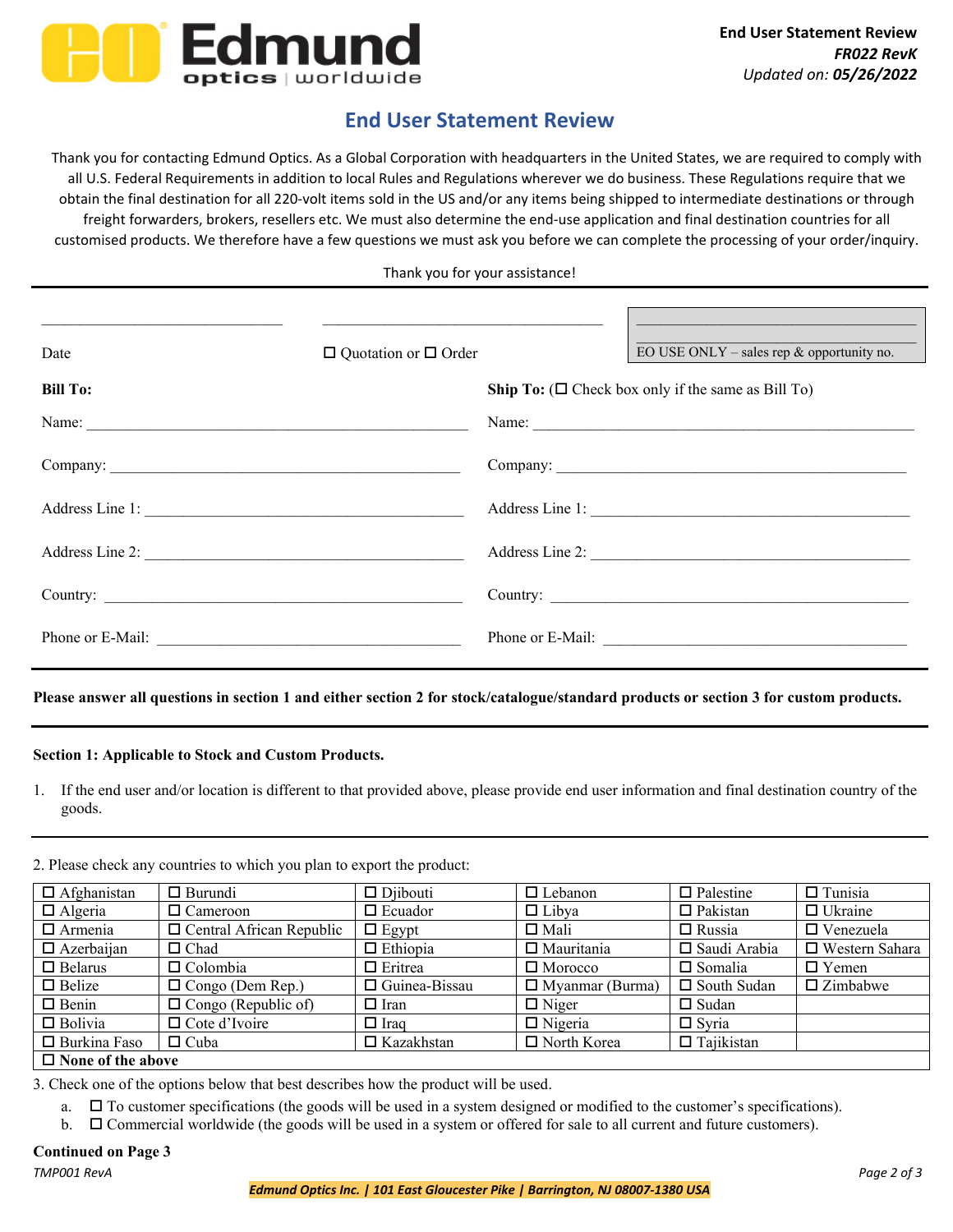

# **End User Statement Review**

Thank you for contacting Edmund Optics. As a Global Corporation with headquarters in the United States, we are required to comply with all U.S. Federal Requirements in addition to local Rules and Regulations wherever we do business. These Regulations require that we obtain the final destination for all 220‐volt items sold in the US and/or any items being shipped to intermediate destinations or through freight forwarders, brokers, resellers etc. We must also determine the end-use application and final destination countries for all customised products. We therefore have a few questions we must ask you before we can complete the processing of your order/inquiry.

Thank you for your assistance!

| Date             | $\Box$ Quotation or $\Box$ Order | EO USE ONLY – sales rep $\&$ opportunity no.                    |
|------------------|----------------------------------|-----------------------------------------------------------------|
| <b>Bill To:</b>  |                                  | <b>Ship To:</b> ( $\Box$ Check box only if the same as Bill To) |
|                  |                                  | Name:                                                           |
|                  |                                  |                                                                 |
| Address Line 1:  |                                  | Address Line 1:                                                 |
| Address Line 2:  |                                  | Address Line 2:                                                 |
|                  |                                  |                                                                 |
| Phone or E-Mail: |                                  | Phone or E-Mail:                                                |

**Please answer all questions in section 1 and either section 2 for stock/catalogue/standard products or section 3 for custom products.** 

## **Section 1: Applicable to Stock and Custom Products.**

1. If the end user and/or location is different to that provided above, please provide end user information and final destination country of the goods.

2. Please check any countries to which you plan to export the product:

| $\Box$ Afghanistan       | $\Box$ Burundi                  | $\Box$ Diibouti      | $\Box$ Lebanon         | $\Box$ Palestine    | $\Box$ Tunisia     |  |
|--------------------------|---------------------------------|----------------------|------------------------|---------------------|--------------------|--|
| $\Box$ Algeria           | $\Box$ Cameroon                 | $\Box$ Ecuador       | $\Box$ Libya           | $\Box$ Pakistan     | $\Box$ Ukraine     |  |
| $\Box$ Armenia           | $\Box$ Central African Republic | $\Box$ Egypt         | $\square$ Mali         | $\Box$ Russia       | $\Box$ Venezuela   |  |
| $\Box$ Azerbaijan        | $\Box$ Chad                     | $\Box$ Ethiopia      | $\Box$ Mauritania      | $\Box$ Saudi Arabia | □ Western Sahara   |  |
| $\Box$ Belarus           | $\Box$ Colombia                 | $\Box$ Eritrea       | $\Box$ Morocco         | $\square$ Somalia   | $\Box$ Yemen       |  |
| $\Box$ Belize            | $\Box$ Congo (Dem Rep.)         | $\Box$ Guinea-Bissau | $\Box$ Myanmar (Burma) | $\Box$ South Sudan  | $\square$ Zimbabwe |  |
| $\Box$ Benin             | $\Box$ Congo (Republic of)      | $\Box$ Iran          | $\Box$ Niger           | $\Box$ Sudan        |                    |  |
| $\Box$ Bolivia           | $\Box$ Cote d'Ivoire            | $\Box$ Iraq          | $\Box$ Nigeria         | $\Box$ Syria        |                    |  |
| $\Box$ Burkina Faso      | $\Box$ Cuba                     | $\Box$ Kazakhstan    | □ North Korea          | $\Box$ Tajikistan   |                    |  |
| $\Box$ None of the above |                                 |                      |                        |                     |                    |  |

#### **None of the above**

3. Check one of the options below that best describes how the product will be used.

- $a.$   $\square$  To customer specifications (the goods will be used in a system designed or modified to the customer's specifications).
- $b.$   $\Box$  Commercial worldwide (the goods will be used in a system or offered for sale to all current and future customers).